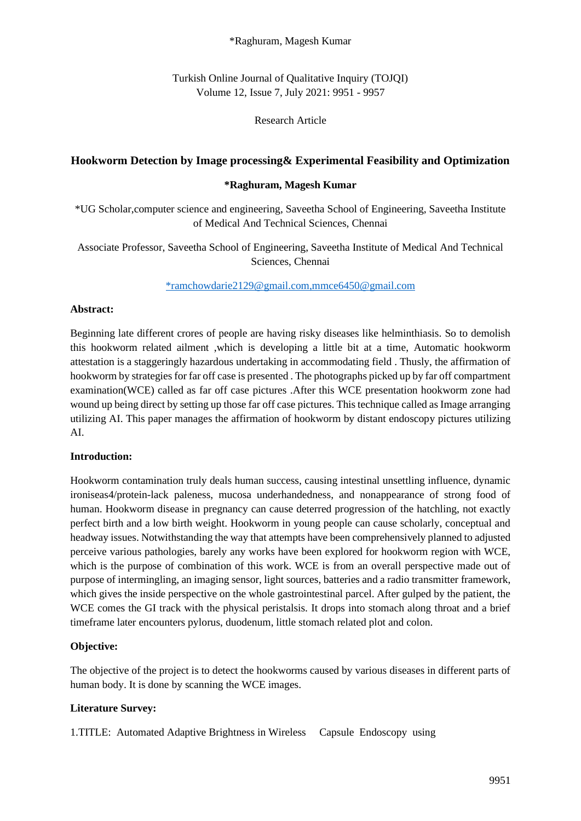### \*Raghuram, Magesh Kumar

Turkish Online Journal of Qualitative Inquiry (TOJQI) Volume 12, Issue 7, July 2021: 9951 - 9957

### Research Article

### **Hookworm Detection by Image processing& Experimental Feasibility and Optimization**

#### **\*Raghuram, Magesh Kumar**

\*UG Scholar,computer science and engineering, Saveetha School of Engineering, Saveetha Institute of Medical And Technical Sciences, Chennai

Associate Professor, Saveetha School of Engineering, Saveetha Institute of Medical And Technical Sciences, Chennai

[\\*ramchowdarie2129@gmail.com,mmce6450@gmail.com](mailto:*ramchowdarie2129@gmail.com,mmce6450@gmail.com)

#### **Abstract:**

Beginning late different crores of people are having risky diseases like helminthiasis. So to demolish this hookworm related ailment ,which is developing a little bit at a time, Automatic hookworm attestation is a staggeringly hazardous undertaking in accommodating field . Thusly, the affirmation of hookworm by strategies for far off case is presented . The photographs picked up by far off compartment examination(WCE) called as far off case pictures .After this WCE presentation hookworm zone had wound up being direct by setting up those far off case pictures. This technique called as Image arranging utilizing AI. This paper manages the affirmation of hookworm by distant endoscopy pictures utilizing AI.

### **Introduction:**

Hookworm contamination truly deals human success, causing intestinal unsettling influence, dynamic ironiseas4/protein-lack paleness, mucosa underhandedness, and nonappearance of strong food of human. Hookworm disease in pregnancy can cause deterred progression of the hatchling, not exactly perfect birth and a low birth weight. Hookworm in young people can cause scholarly, conceptual and headway issues. Notwithstanding the way that attempts have been comprehensively planned to adjusted perceive various pathologies, barely any works have been explored for hookworm region with WCE, which is the purpose of combination of this work. WCE is from an overall perspective made out of purpose of intermingling, an imaging sensor, light sources, batteries and a radio transmitter framework, which gives the inside perspective on the whole gastrointestinal parcel. After gulped by the patient, the WCE comes the GI track with the physical peristalsis. It drops into stomach along throat and a brief timeframe later encounters pylorus, duodenum, little stomach related plot and colon.

### **Objective:**

The objective of the project is to detect the hookworms caused by various diseases in different parts of human body. It is done by scanning the WCE images.

### **Literature Survey:**

1.TITLE: Automated Adaptive Brightness in Wireless Capsule Endoscopy using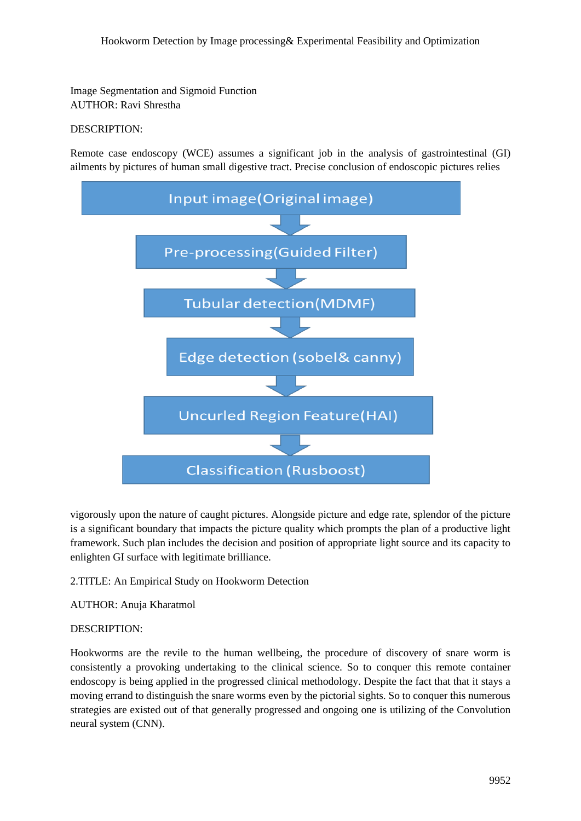Image Segmentation and Sigmoid Function AUTHOR: Ravi Shrestha

# DESCRIPTION:

Remote case endoscopy (WCE) assumes a significant job in the analysis of gastrointestinal (GI) ailments by pictures of human small digestive tract. Precise conclusion of endoscopic pictures relies



vigorously upon the nature of caught pictures. Alongside picture and edge rate, splendor of the picture is a significant boundary that impacts the picture quality which prompts the plan of a productive light framework. Such plan includes the decision and position of appropriate light source and its capacity to enlighten GI surface with legitimate brilliance.

2.TITLE: An Empirical Study on Hookworm Detection

AUTHOR: Anuja Kharatmol

## DESCRIPTION:

Hookworms are the revile to the human wellbeing, the procedure of discovery of snare worm is consistently a provoking undertaking to the clinical science. So to conquer this remote container endoscopy is being applied in the progressed clinical methodology. Despite the fact that that it stays a moving errand to distinguish the snare worms even by the pictorial sights. So to conquer this numerous strategies are existed out of that generally progressed and ongoing one is utilizing of the Convolution neural system (CNN).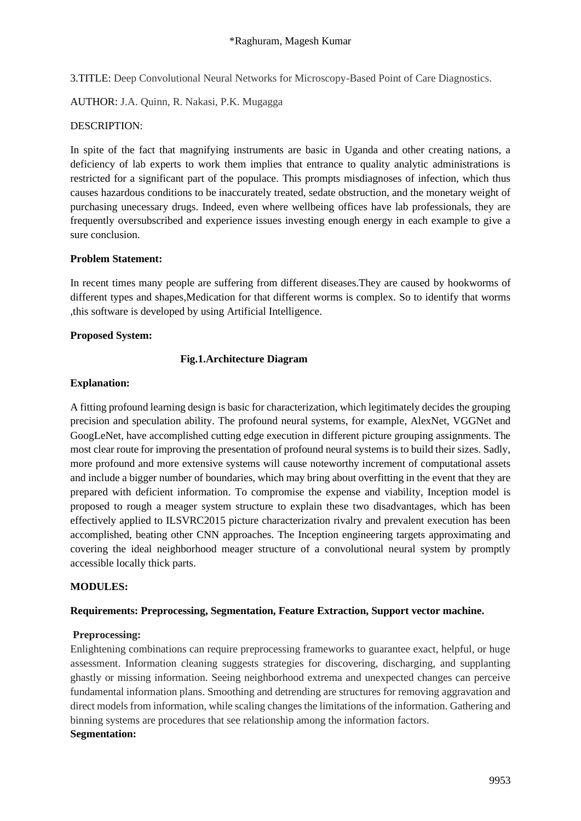3.TITLE: Deep Convolutional Neural Networks for Microscopy-Based Point of Care Diagnostics.

AUTHOR: J.A. Quinn, R. Nakasi, P.K. Mugagga

## DESCRIPTION:

In spite of the fact that magnifying instruments are basic in Uganda and other creating nations, a deficiency of lab experts to work them implies that entrance to quality analytic administrations is restricted for a significant part of the populace. This prompts misdiagnoses of infection, which thus causes hazardous conditions to be inaccurately treated, sedate obstruction, and the monetary weight of purchasing unecessary drugs. Indeed, even where wellbeing offices have lab professionals, they are frequently oversubscribed and experience issues investing enough energy in each example to give a sure conclusion.

# **Problem Statement:**

In recent times many people are suffering from different diseases.They are caused by hookworms of different types and shapes,Medication for that different worms is complex. So to identify that worms ,this software is developed by using Artificial Intelligence.

# **Proposed System:**

# **Fig.1.Architecture Diagram**

## **Explanation:**

A fitting profound learning design is basic for characterization, which legitimately decides the grouping precision and speculation ability. The profound neural systems, for example, AlexNet, VGGNet and GoogLeNet, have accomplished cutting edge execution in different picture grouping assignments. The most clear route for improving the presentation of profound neural systems is to build their sizes. Sadly, more profound and more extensive systems will cause noteworthy increment of computational assets and include a bigger number of boundaries, which may bring about overfitting in the event that they are prepared with deficient information. To compromise the expense and viability, Inception model is proposed to rough a meager system structure to explain these two disadvantages, which has been effectively applied to ILSVRC2015 picture characterization rivalry and prevalent execution has been accomplished, beating other CNN approaches. The Inception engineering targets approximating and covering the ideal neighborhood meager structure of a convolutional neural system by promptly accessible locally thick parts.

## **MODULES:**

## **Requirements: Preprocessing, Segmentation, Feature Extraction, Support vector machine.**

## **Preprocessing:**

Enlightening combinations can require preprocessing frameworks to guarantee exact, helpful, or huge assessment. Information cleaning suggests strategies for discovering, discharging, and supplanting ghastly or missing information. Seeing neighborhood extrema and unexpected changes can perceive fundamental information plans. Smoothing and detrending are structures for removing aggravation and direct models from information, while scaling changes the limitations of the information. Gathering and binning systems are procedures that see relationship among the information factors. **Segmentation:**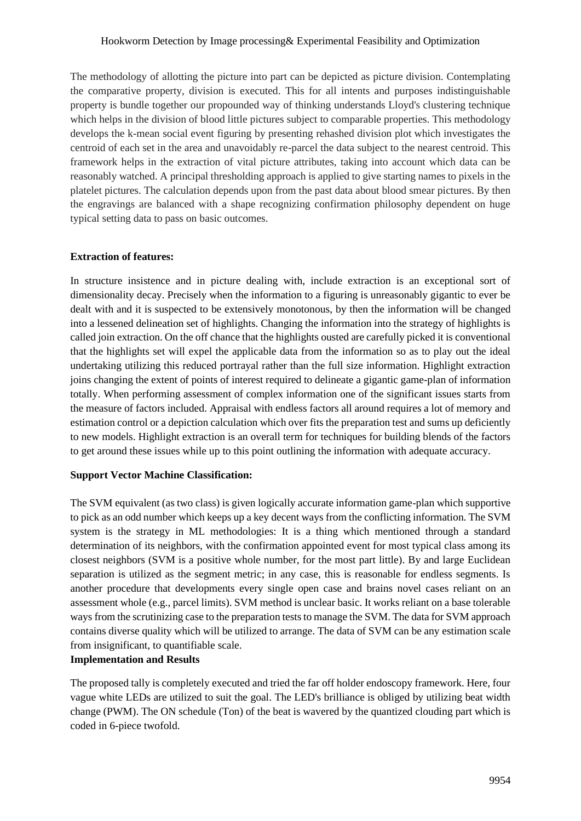### Hookworm Detection by Image processing& Experimental Feasibility and Optimization

The methodology of allotting the picture into part can be depicted as picture division. Contemplating the comparative property, division is executed. This for all intents and purposes indistinguishable property is bundle together our propounded way of thinking understands Lloyd's clustering technique which helps in the division of blood little pictures subject to comparable properties. This methodology develops the k-mean social event figuring by presenting rehashed division plot which investigates the centroid of each set in the area and unavoidably re-parcel the data subject to the nearest centroid. This framework helps in the extraction of vital picture attributes, taking into account which data can be reasonably watched. A principal thresholding approach is applied to give starting names to pixels in the platelet pictures. The calculation depends upon from the past data about blood smear pictures. By then the engravings are balanced with a shape recognizing confirmation philosophy dependent on huge typical setting data to pass on basic outcomes.

### **Extraction of features:**

In structure insistence and in picture dealing with, include extraction is an exceptional sort of dimensionality decay. Precisely when the information to a figuring is unreasonably gigantic to ever be dealt with and it is suspected to be extensively monotonous, by then the information will be changed into a lessened delineation set of highlights. Changing the information into the strategy of highlights is called join extraction. On the off chance that the highlights ousted are carefully picked it is conventional that the highlights set will expel the applicable data from the information so as to play out the ideal undertaking utilizing this reduced portrayal rather than the full size information. Highlight extraction joins changing the extent of points of interest required to delineate a gigantic game-plan of information totally. When performing assessment of complex information one of the significant issues starts from the measure of factors included. Appraisal with endless factors all around requires a lot of memory and estimation control or a depiction calculation which over fits the preparation test and sums up deficiently to new models. Highlight extraction is an overall term for techniques for building blends of the factors to get around these issues while up to this point outlining the information with adequate accuracy.

### **Support Vector Machine Classification:**

The SVM equivalent (as two class) is given logically accurate information game-plan which supportive to pick as an odd number which keeps up a key decent ways from the conflicting information. The SVM system is the strategy in ML methodologies: It is a thing which mentioned through a standard determination of its neighbors, with the confirmation appointed event for most typical class among its closest neighbors (SVM is a positive whole number, for the most part little). By and large Euclidean separation is utilized as the segment metric; in any case, this is reasonable for endless segments. Is another procedure that developments every single open case and brains novel cases reliant on an assessment whole (e.g., parcel limits). SVM method is unclear basic. It works reliant on a base tolerable ways from the scrutinizing case to the preparation tests to manage the SVM. The data for SVM approach contains diverse quality which will be utilized to arrange. The data of SVM can be any estimation scale from insignificant, to quantifiable scale.

### **Implementation and Results**

The proposed tally is completely executed and tried the far off holder endoscopy framework. Here, four vague white LEDs are utilized to suit the goal. The LED's brilliance is obliged by utilizing beat width change (PWM). The ON schedule (Ton) of the beat is wavered by the quantized clouding part which is coded in 6-piece twofold.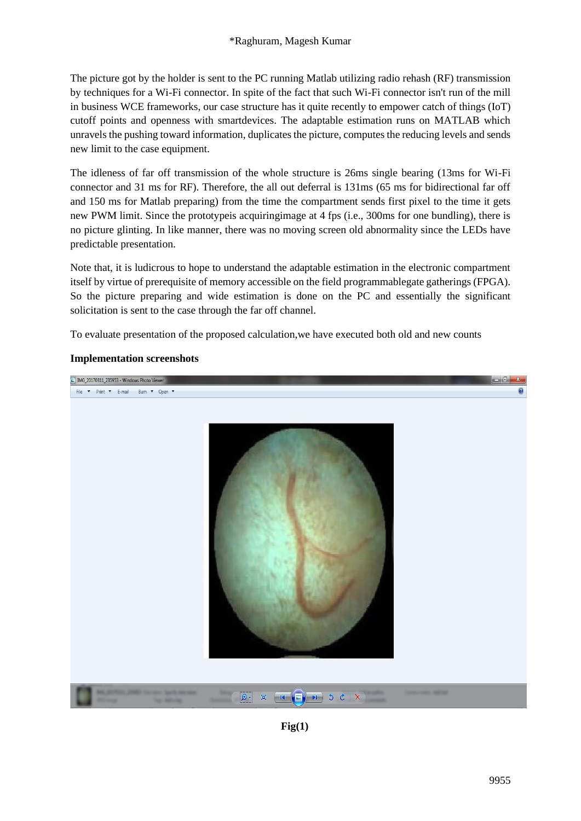The picture got by the holder is sent to the PC running Matlab utilizing radio rehash (RF) transmission by techniques for a Wi-Fi connector. In spite of the fact that such Wi-Fi connector isn't run of the mill in business WCE frameworks, our case structure has it quite recently to empower catch of things (IoT) cutoff points and openness with smartdevices. The adaptable estimation runs on MATLAB which unravels the pushing toward information, duplicates the picture, computes the reducing levels and sends new limit to the case equipment.

The idleness of far off transmission of the whole structure is 26ms single bearing (13ms for Wi-Fi connector and 31 ms for RF). Therefore, the all out deferral is 131ms (65 ms for bidirectional far off and 150 ms for Matlab preparing) from the time the compartment sends first pixel to the time it gets new PWM limit. Since the prototypeis acquiringimage at 4 fps (i.e., 300ms for one bundling), there is no picture glinting. In like manner, there was no moving screen old abnormality since the LEDs have predictable presentation.

Note that, it is ludicrous to hope to understand the adaptable estimation in the electronic compartment itself by virtue of prerequisite of memory accessible on the field programmablegate gatherings (FPGA). So the picture preparing and wide estimation is done on the PC and essentially the significant solicitation is sent to the case through the far off channel.

To evaluate presentation of the proposed calculation,we have executed both old and new counts

### **Implementation screenshots**



**Fig(1)**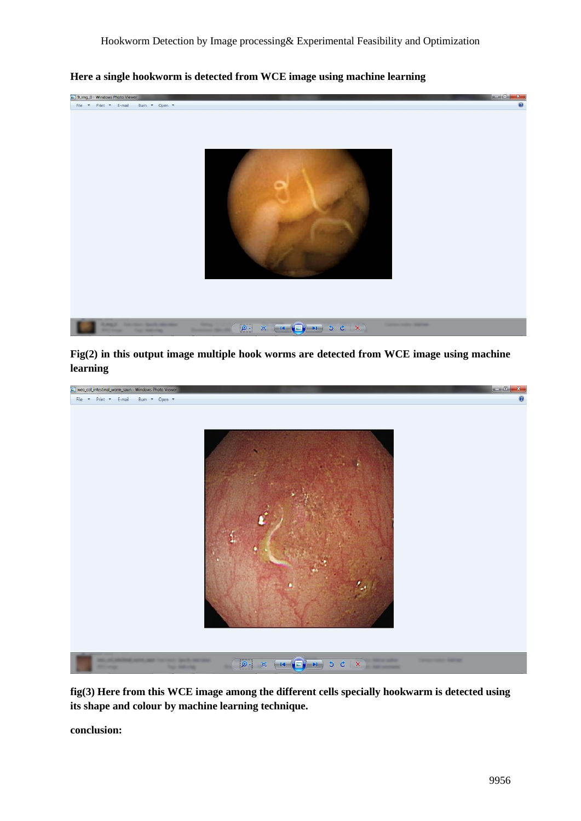

**Here a single hookworm is detected from WCE image using machine learning**

**Fig(2) in this output image multiple hook worms are detected from WCE image using machine learning**



**fig(3) Here from this WCE image among the different cells specially hookwarm is detected using its shape and colour by machine learning technique.**

**conclusion:**